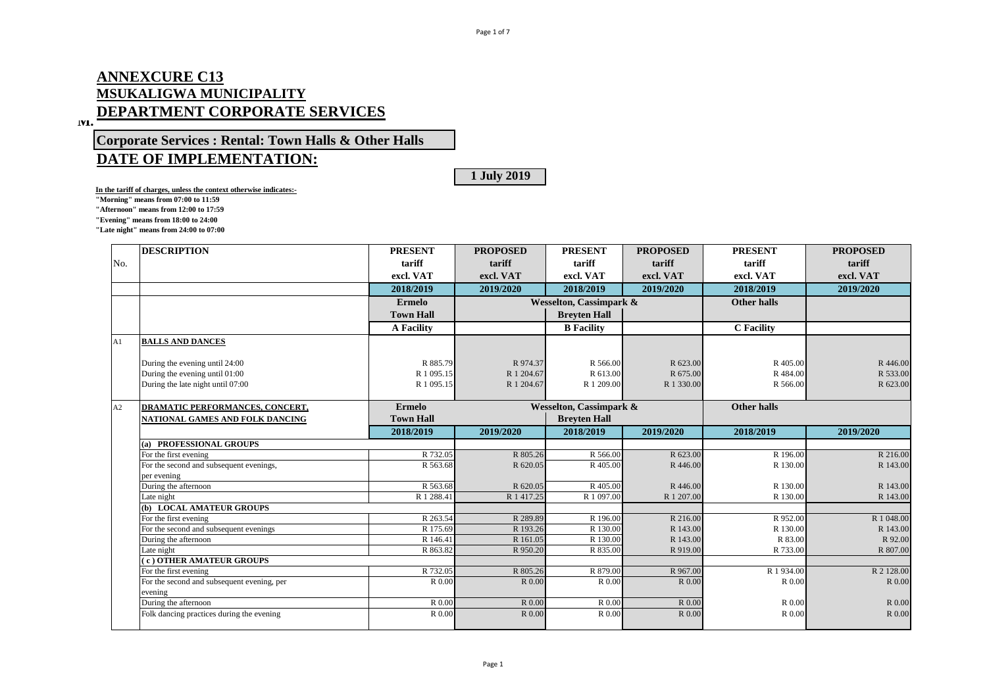## **ANNEXCURE C13 MSUKALIGWA MUNICIPALITY DEPARTMENT CORPORATE SERVICES**

## **Corporate Services : Rental: Town Halls & Other Halls**

## **DATE OF IMPLEMENTATION:**

**1 July 2019**

**In the tariff of charges, unless the context otherwise indicates:-**

**"Morning" means from 07:00 to 11:59**

**"Afternoon" means from 12:00 to 17:59**

**"Evening" means from 18:00 to 24:00**

**"Late night" means from 24:00 to 07:00**

|     | <b>DESCRIPTION</b>                                  | <b>PRESENT</b>    | <b>PROPOSED</b>     | <b>PRESENT</b>                     | <b>PROPOSED</b> | <b>PRESENT</b>    | <b>PROPOSED</b> |  |
|-----|-----------------------------------------------------|-------------------|---------------------|------------------------------------|-----------------|-------------------|-----------------|--|
| No. |                                                     | tariff            | tariff              | tariff                             | tariff          | tariff            | tariff          |  |
|     |                                                     | excl. VAT         | excl. VAT           | excl. VAT                          | excl. VAT       | excl. VAT         | excl. VAT       |  |
|     |                                                     | 2018/2019         | 2019/2020           | 2018/2019                          | 2019/2020       | 2018/2019         | 2019/2020       |  |
|     |                                                     | Ermelo            |                     | Wesselton, Cassimpark &            |                 | Other halls       |                 |  |
|     |                                                     | <b>Town Hall</b>  |                     | <b>Breyten Hall</b>                |                 |                   |                 |  |
|     |                                                     | <b>A Facility</b> |                     | <b>B</b> Facility                  |                 | <b>C</b> Facility |                 |  |
| A1  | <b>BALLS AND DANCES</b>                             |                   |                     |                                    |                 |                   |                 |  |
|     |                                                     |                   |                     |                                    |                 |                   |                 |  |
|     | During the evening until 24:00                      | R 885.79          | R 974.37            | R 566.00                           | R 623.00        | R 405.00          | R 446.00        |  |
|     | During the evening until 01:00                      | R 1 095.15        | R 1 204.67          | R 613.00                           | R 675.00        | R484.00           | R 533.00        |  |
|     | During the late night until 07:00                   | R 1 095.15        | R 1 204.67          | R 1 209.00                         | R 1 330.00      | R 566.00          | R 623.00        |  |
|     |                                                     |                   |                     |                                    |                 |                   |                 |  |
| A2  | DRAMATIC PERFORMANCES, CONCERT,                     | <b>Ermelo</b>     |                     | <b>Wesselton, Cassimpark &amp;</b> |                 | Other halls       |                 |  |
|     | <b>Town Hall</b><br>NATIONAL GAMES AND FOLK DANCING |                   | <b>Brevten Hall</b> |                                    |                 |                   |                 |  |
|     |                                                     | 2018/2019         | 2019/2020           | 2018/2019                          | 2019/2020       | 2018/2019         | 2019/2020       |  |
|     | (a) PROFESSIONAL GROUPS                             |                   |                     |                                    |                 |                   |                 |  |
|     | For the first evening                               | R 732.05          | R 805.26            | R 566.00                           | R 623.00        | R 196.00          | R 216.00        |  |
|     | For the second and subsequent evenings,             | R 563.68          | R 620.05            | R 405.00                           | R 446.00        | R 130.00          | R 143.00        |  |
|     | per evening                                         |                   |                     |                                    |                 |                   |                 |  |
|     | During the afternoon                                | R 563.68          | R 620.05            | R 405.00                           | R 446.00        | R 130.00          | R 143.00        |  |
|     | Late night                                          | R 1 288.41        | R 1 417.25          | R 1 097.00                         | R 1 207.00      | R 130.00          | R 143.00        |  |
|     | (b) LOCAL AMATEUR GROUPS                            |                   |                     |                                    |                 |                   |                 |  |
|     | For the first evening                               | R 263.54          | R 289.89            | R 196.00                           | R 216.00        | R 952.00          | R 1 048,00      |  |
|     | For the second and subsequent evenings              | R 175.69          | R 193.26            | R 130.00                           | R 143.00        | R 130.00          | R 143.00        |  |
|     | During the afternoon                                | R 146.41          | R 161.05            | R 130.00                           | R 143.00        | R 83.00           | R 92.00         |  |
|     | Late night                                          | R 863.82          | R 950.20            | R 835.00                           | R 919.00        | R 733.00          | R 807.00        |  |
|     | (c) OTHER AMATEUR GROUPS                            |                   |                     |                                    |                 |                   |                 |  |
|     | For the first evening                               | R 732.05          | R 805.26            | R 879.00                           | R 967.00        | R 1 934.00        | R 2 128.00      |  |
|     | For the second and subsequent evening, per          | R 0.00            | R 0.00              | R 0.00                             | R 0.00          | R 0.00            | R 0.00          |  |
|     | evening                                             |                   |                     |                                    |                 |                   |                 |  |
|     | During the afternoon                                | R 0.00            | R 0.00              | R 0.00                             | R 0.00          | R 0.00            | R 0.00          |  |
|     | Folk dancing practices during the evening           | R 0.00            | R 0.00              | R 0.00                             | R 0.00          | R 0.00            | $R\ 0.00$       |  |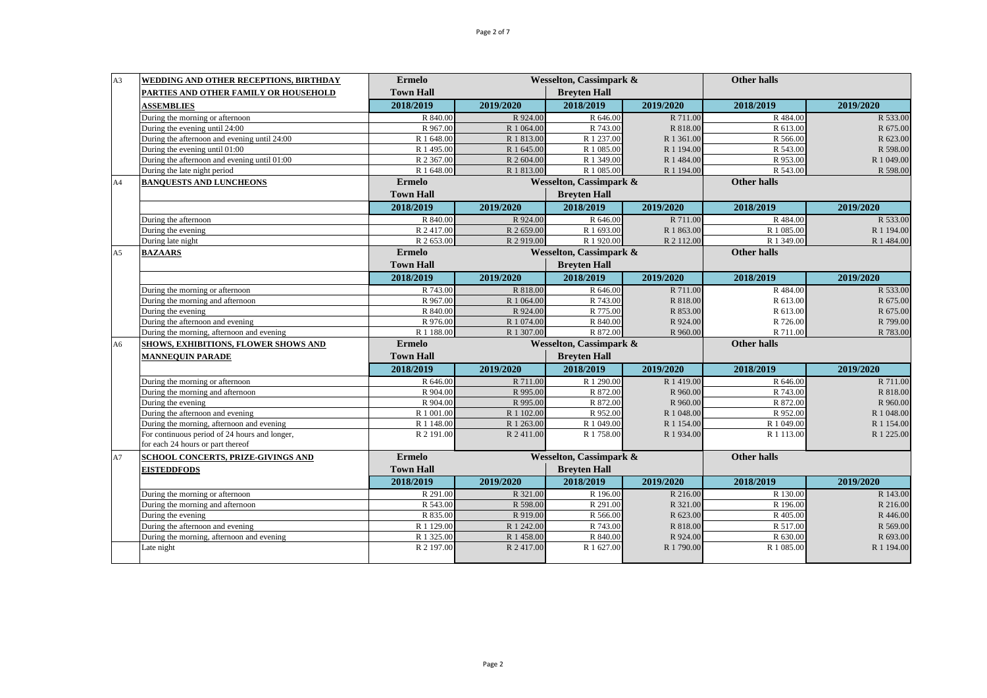| A <sub>3</sub> | WEDDING AND OTHER RECEPTIONS, BIRTHDAY                                             | <b>Ermelo</b>                           |                      | Wesselton, Cassimpark &            |                      | <b>Other halls</b>   |                      |  |
|----------------|------------------------------------------------------------------------------------|-----------------------------------------|----------------------|------------------------------------|----------------------|----------------------|----------------------|--|
|                | PARTIES AND OTHER FAMILY OR HOUSEHOLD                                              | <b>Brevten Hall</b><br><b>Town Hall</b> |                      |                                    |                      |                      |                      |  |
|                | <b>ASSEMBLIES</b>                                                                  | 2018/2019                               | 2019/2020            | 2018/2019                          | 2019/2020            | 2018/2019            | 2019/2020            |  |
|                | During the morning or afternoon                                                    | R 840.00                                | R 924.00             | R 646.00                           | R 711.00             | R 484.00             | R 533.00             |  |
|                | During the evening until 24:00                                                     | R 967.00                                | R 1 064.00           | R 743.00                           | R 818.00             | R 613.00             | R 675.00             |  |
|                | During the afternoon and evening until 24:00                                       | R 1 648.00                              | R 1 813.00           | R 1 237.00                         | R 1 361.00           | R 566.00             | R 623.00             |  |
|                | During the evening until 01:00                                                     | R 1 495.00                              | R 1 645.00           | R 1 085.00                         | R 1 194.00           | R 543.00             | R 598.00             |  |
|                | During the afternoon and evening until 01:00                                       | R 2 367.00                              | R 2 604.00           | R 1 349.00                         | R 1 484.00           | R 953.00             | R 1 049.00           |  |
|                | During the late night period                                                       | R 1 648.00                              | R 1 813.00           | R 1 085.00                         | R 1 194.00           | R 543.00             | R 598.00             |  |
| A <sub>4</sub> | <b>BANQUESTS AND LUNCHEONS</b>                                                     | <b>Ermelo</b>                           |                      | <b>Wesselton, Cassimpark &amp;</b> |                      | Other halls          |                      |  |
|                |                                                                                    | <b>Town Hall</b>                        |                      | <b>Breyten Hall</b>                |                      |                      |                      |  |
|                |                                                                                    | 2018/2019                               | 2019/2020            | 2018/2019                          | 2019/2020            | 2018/2019            | 2019/2020            |  |
|                | During the afternoon                                                               | R 840.00                                | R 924.00             | R 646.00                           | R 711.00             | R 484.00             | R 533.00             |  |
|                | During the evening                                                                 | R 2417.00                               | R 2 659.00           | R 1 693.00                         | R 1 863.00           | R 1 085.00           | R 1 194.00           |  |
|                | During late night                                                                  | R 2 653.00                              | R 2 919.00           | R 1 920.00                         | R 2 112.00           | R 1 349.00           | R 1 484.00           |  |
| A <sub>5</sub> | <b>BAZAARS</b>                                                                     | <b>Ermelo</b>                           |                      | Wesselton, Cassimpark &            |                      | <b>Other halls</b>   |                      |  |
|                |                                                                                    | <b>Town Hall</b>                        |                      | <b>Brevten Hall</b>                |                      |                      |                      |  |
|                |                                                                                    | 2018/2019                               | 2019/2020            | 2018/2019                          | 2019/2020            | 2018/2019            | 2019/2020            |  |
|                | During the morning or afternoon                                                    | R 743.00                                | R 818.00             | R 646.00                           | R 711.00             | R 484.00             | R 533.00             |  |
|                | During the morning and afternoon                                                   | R 967.00                                | R 1 064.00           | R 743.00                           | R 818.00             | R 613.00             | R 675.00             |  |
|                | During the evening                                                                 | R 840.00                                | R 924.00             | R 775.00                           | R 853.00             | R 613.00             | R 675.00             |  |
|                | During the afternoon and evening                                                   | R 976.00                                | R 1 074.00           | R 840.00                           | R 924.00             | R 726.00             | R 799.00             |  |
|                | During the morning, afternoon and evening                                          | R 1 188.00                              | R 1 307.00           | R 872.00                           | R 960.00             | R 711.00             | R 783.00             |  |
| A <sub>6</sub> | <b>SHOWS, EXHIBITIONS, FLOWER SHOWS AND</b>                                        | <b>Ermelo</b>                           |                      | Wesselton, Cassimpark &            |                      | <b>Other halls</b>   |                      |  |
|                | <b>MANNEOUIN PARADE</b>                                                            | <b>Town Hall</b><br><b>Brevten Hall</b> |                      |                                    |                      |                      |                      |  |
|                |                                                                                    | 2018/2019                               | 2019/2020            | 2018/2019                          | 2019/2020            | 2018/2019            | 2019/2020            |  |
|                | During the morning or afternoon                                                    | R 646.00                                | R 711.00             | R 1 290.00                         | R 1 419.00           | R 646.00             | R 711.00             |  |
|                | During the morning and afternoon                                                   | R 904.00                                | R 995.00             | R 872.00                           | R 960.00             | R 743.00             | R 818.00             |  |
|                | During the evening                                                                 | R 904.00                                | R 995.00             | R 872.00                           | R 960.00             | R 872.00             | R 960.00             |  |
|                | During the afternoon and evening                                                   | R 1 001.00                              | R 1 102.00           | R 952.00                           | R 1 048.00           | R 952.00             | R 1 048.00           |  |
|                | During the morning, afternoon and evening                                          | R 1 148.00                              | R 1 263.00           | R 1 049.00                         | R 1 154.00           | R 1 049.00           | R 1 154.00           |  |
|                | For continuous period of 24 hours and longer,<br>for each 24 hours or part thereof | R 2 191.00                              | R 2 411.00           | R 1 758.00                         | R 1934.00            | R 1 113.00           | R 1 225.00           |  |
| A7             | <b>SCHOOL CONCERTS, PRIZE-GIVINGS AND</b>                                          | <b>Ermelo</b>                           |                      | Wesselton, Cassimpark &            |                      | Other halls          |                      |  |
|                |                                                                                    | <b>Town Hall</b>                        |                      |                                    |                      |                      |                      |  |
|                | <b>EISTEDDFODS</b>                                                                 | 2018/2019                               | 2019/2020            | <b>Breyten Hall</b><br>2018/2019   | 2019/2020            | 2018/2019            | 2019/2020            |  |
|                |                                                                                    |                                         |                      |                                    |                      |                      |                      |  |
|                | During the morning or afternoon<br>During the morning and afternoon                | R 291.00<br>R 543.00                    | R 321.00<br>R 598.00 | R 196.00<br>R 291.00               | R 216.00<br>R 321.00 | R 130.00<br>R 196.00 | R 143.00<br>R 216.00 |  |
|                | During the evening                                                                 | R 835.00                                | R 919.00             | R 566.00                           | R 623.00             | R 405.00             | R 446.00             |  |
|                | During the afternoon and evening                                                   | R 1 129.00                              | R 1 242.00           | R 743.00                           | R 818.00             | R 517.00             | R 569.00             |  |
|                | During the morning, afternoon and evening                                          | R 1 325.00                              | R 1 458.00           | R 840.00                           | R 924.00             | R 630.00             | R 693.00             |  |
|                | Late night                                                                         | R 2 197.00                              | R 2 417.00           | R 1 627.00                         | R 1790.00            | R 1 085.00           | R 1 194.00           |  |
|                |                                                                                    |                                         |                      |                                    |                      |                      |                      |  |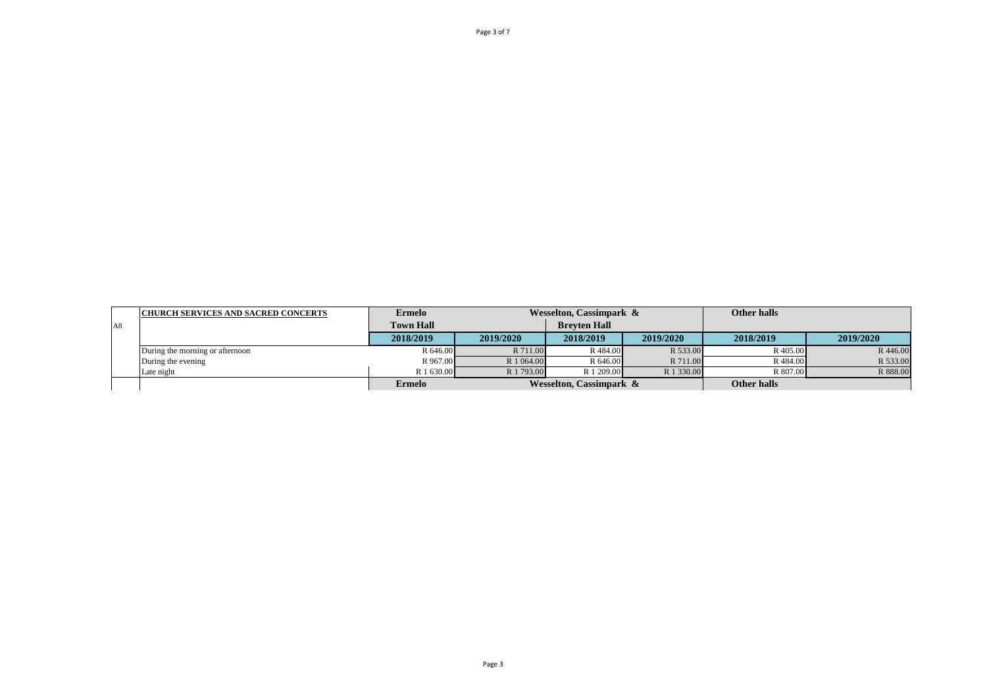|    | <b>CHURCH SERVICES AND SACRED CONCERTS</b> | Ermelo                            |            | Wesselton, Cassimpark & |            | <b>Other halls</b> |           |
|----|--------------------------------------------|-----------------------------------|------------|-------------------------|------------|--------------------|-----------|
| A8 |                                            | <b>Town Hall</b>                  |            | <b>Brevten Hall</b>     |            |                    |           |
|    |                                            | 2018/2019                         | 2019/2020  | 2018/2019               | 2019/2020  | 2018/2019          | 2019/2020 |
|    | During the morning or afternoon            | R 646.00                          | R 711.00   | R484.00                 | R 533.00   | R 405.00           | R 446.00  |
|    | During the evening                         | R 967.00                          | R 1 064.00 | R 646.00                | R 711.00   | R484.00            | R 533.00  |
|    | Late night                                 | R 1 630.00                        | R 1 793.00 | R 1 209.00              | R 1 330.00 | R 807.00           | R 888.00  |
|    |                                            | Wesselton, Cassimpark &<br>Ermelo |            | <b>Other halls</b>      |            |                    |           |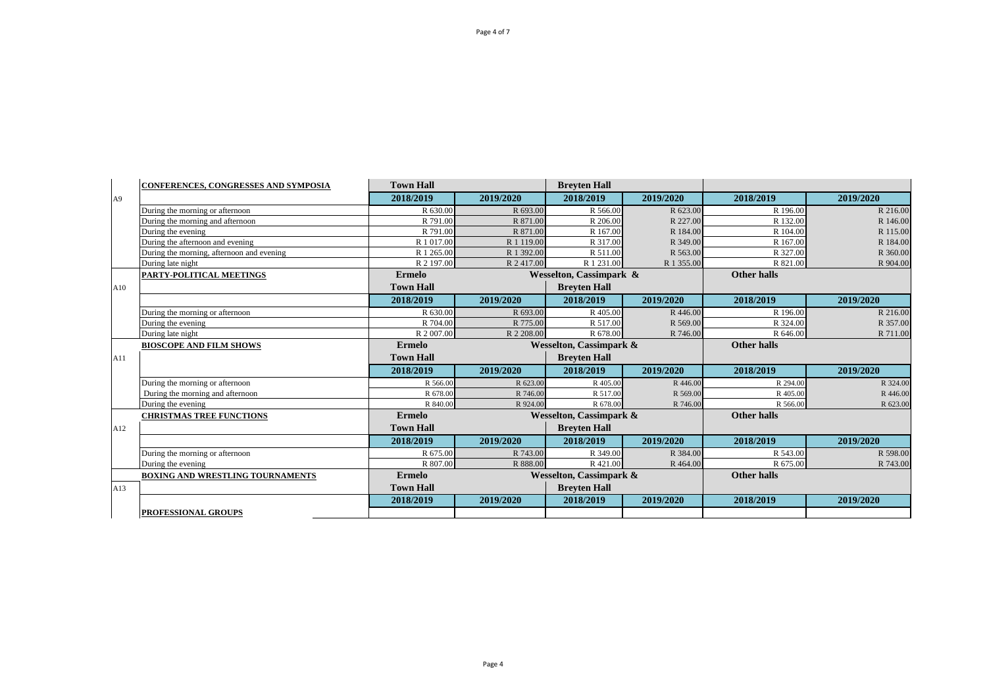|     | CONFERENCES, CONGRESSES AND SYMPOSIA      | <b>Town Hall</b> |            | <b>Brevten Hall</b>     |            |                    |           |
|-----|-------------------------------------------|------------------|------------|-------------------------|------------|--------------------|-----------|
| A9  |                                           | 2018/2019        | 2019/2020  | 2018/2019               | 2019/2020  | 2018/2019          | 2019/2020 |
|     | During the morning or afternoon           | R 630.00         | R 693.00   | R 566.00                | R 623.00   | R 196.00           | R 216.00  |
|     | During the morning and afternoon          | R 791.00         | R 871.00   | R 206.00                | R 227.00   | R 132.00           | R 146.00  |
|     | During the evening                        | R 791.00         | R 871.00   | R 167.00                | R 184.00   | R 104.00           | R 115.00  |
|     | During the afternoon and evening          | R 1 017.00       | R 1 119.00 | R 317.00                | R 349.00   | R 167.00           | R 184.00  |
|     | During the morning, afternoon and evening | R 1 265.00       | R 1 392.00 | R 511.00                | R 563.00   | R 327.00           | R 360.00  |
|     | During late night                         | R 2 197.00       | R 2 417.00 | R 1 231.00              | R 1 355.00 | R 821.00           | R 904.00  |
|     | PARTY-POLITICAL MEETINGS                  | <b>Ermelo</b>    |            | Wesselton, Cassimpark & |            | <b>Other halls</b> |           |
| A10 |                                           | <b>Town Hall</b> |            | <b>Breyten Hall</b>     |            |                    |           |
|     |                                           | 2018/2019        | 2019/2020  | 2018/2019               | 2019/2020  | 2018/2019          | 2019/2020 |
|     | During the morning or afternoon           | R 630.00         | R 693.00   | R 405.00                | R 446.00   | R 196.00           | R 216.00  |
|     | During the evening                        | R 704.00         | R 775.00   | R 517.00                | R 569.00   | R 324.00           | R 357.00  |
|     | During late night                         | R 2 007.00       | R 2 208.00 | R 678.00                | R 746.00   | R 646.00           | R 711.00  |
|     | <b>BIOSCOPE AND FILM SHOWS</b>            | <b>Ermelo</b>    |            | Wesselton, Cassimpark & |            | <b>Other halls</b> |           |
| A11 |                                           | <b>Town Hall</b> |            | <b>Brevten Hall</b>     |            |                    |           |
|     |                                           | 2018/2019        | 2019/2020  | 2018/2019               | 2019/2020  | 2018/2019          | 2019/2020 |
|     | During the morning or afternoon           | R 566.00         | R 623.00   | R 405.00                | R 446.00   | R 294.00           | R 324.00  |
|     | During the morning and afternoon          | R 678.00         | R 746.00   | R 517.00                | R 569.00   | R 405.00           | R 446.00  |
|     | During the evening                        | R 840.00         | R 924.00   | R 678.00                | R 746.00   | R 566.00           | R 623.00  |
|     | <b>CHRISTMAS TREE FUNCTIONS</b>           | Ermelo           |            | Wesselton, Cassimpark & |            | <b>Other halls</b> |           |
| A12 |                                           | <b>Town Hall</b> |            | <b>Brevten Hall</b>     |            |                    |           |
|     |                                           | 2018/2019        | 2019/2020  | 2018/2019               | 2019/2020  | 2018/2019          | 2019/2020 |
|     | During the morning or afternoon           | R 675.00         | R 743.00   | R 349.00                | R 384.00   | R 543.00           | R 598.00  |
|     | During the evening                        | R 807.00         | R 888.00   | R421.00                 | R 464.00   | R 675.00           | R 743.00  |
|     | <b>BOXING AND WRESTLING TOURNAMENTS</b>   | <b>Ermelo</b>    |            | Wesselton, Cassimpark & |            | <b>Other halls</b> |           |
| A13 |                                           | <b>Town Hall</b> |            | <b>Brevten Hall</b>     |            |                    |           |
|     |                                           | 2018/2019        | 2019/2020  | 2018/2019               | 2019/2020  | 2018/2019          | 2019/2020 |
|     | <b>PROFESSIONAL GROUPS</b>                |                  |            |                         |            |                    |           |

Page 4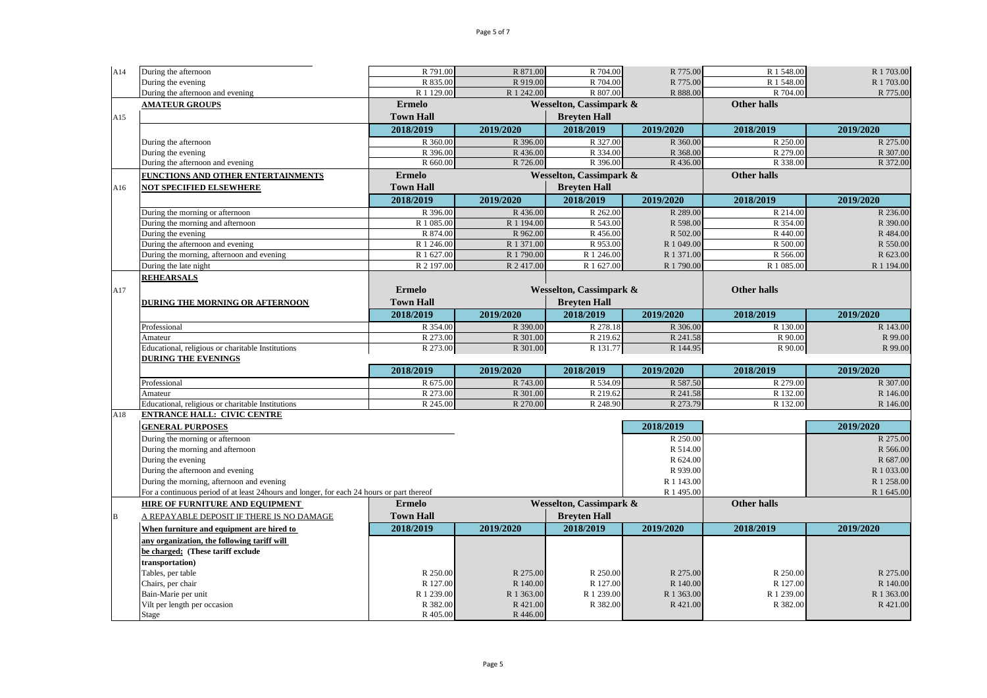| A14 | During the afternoon                                                                      | R 791.00               | R 871.00               | R 704.00                           | R 775.00              | R 1 548.00             | R 1 703.00            |
|-----|-------------------------------------------------------------------------------------------|------------------------|------------------------|------------------------------------|-----------------------|------------------------|-----------------------|
|     | During the evening                                                                        | R 835.00               | R 919.00               | R 704.00                           | R 775.00              | R 1 548.00             | R 1 703.00            |
|     |                                                                                           | R 1 129.00             | R 1 242.00             | R 807.00                           |                       | R 704.00               |                       |
|     | During the afternoon and evening                                                          |                        |                        |                                    | R 888.00              |                        | R 775.00              |
|     | <b>AMATEUR GROUPS</b>                                                                     | <b>Ermelo</b>          |                        | <b>Wesselton, Cassimpark &amp;</b> |                       | <b>Other halls</b>     |                       |
| A15 |                                                                                           | <b>Town Hall</b>       |                        | <b>Brevten Hall</b>                |                       |                        |                       |
|     |                                                                                           | 2018/2019              | 2019/2020              | 2018/2019                          | 2019/2020             | 2018/2019              | 2019/2020             |
|     | During the afternoon                                                                      | R 360.00               | R 396.00               | R 327.00                           | R 360.00              | R 250.00               | R 275.00              |
|     | During the evening                                                                        | R 396.00               | R 436.00               | R 334.00                           | R 368.00              | R 279.00               | R 307.00              |
|     | During the afternoon and evening                                                          | R 660.00               | R 726.00               | R 396.00                           | R 436.00              | R 338.00               | R 372.00              |
|     | FUNCTIONS AND OTHER ENTERTAINMENTS                                                        | <b>Ermelo</b>          |                        | Wesselton, Cassimpark &            |                       | Other halls            |                       |
| A16 | <b>NOT SPECIFIED ELSEWHERE</b>                                                            | <b>Town Hall</b>       |                        | <b>Brevten Hall</b>                |                       |                        |                       |
|     |                                                                                           | 2018/2019              | 2019/2020              | 2018/2019                          | 2019/2020             | 2018/2019              | 2019/2020             |
|     | During the morning or afternoon                                                           | R 396.00               | R436.00                | R 262.00                           | R 289.00              | R 214.00               | R 236.00              |
|     | During the morning and afternoon                                                          | R 1 085.00             | R 1 194.00             | R 543.00                           | R 598.00              | R 354.00               | R 390.00              |
|     | During the evening                                                                        | R 874.00               | R 962.00               | R 456.00                           | R 502.00              | R 440.00               | R 484.00              |
|     | During the afternoon and evening                                                          | R 1 246.00             | R 1 371.00             | R 953.00                           | R 1 049.00            | R 500.00               | R 550.00              |
|     | During the morning, afternoon and evening                                                 | R 1 627.00             | R 1790.00              | R 1 246.00                         | R 1 371.00            | R 566.00               | R 623.00              |
|     | During the late night                                                                     | R 2 197.00             | R 2 417.00             | R 1 627.00                         | R 1 790.00            | R 1 085.00             | R 1 194.00            |
|     | <b>REHEARSALS</b>                                                                         |                        |                        |                                    |                       |                        |                       |
| A17 |                                                                                           | Ermelo                 |                        | Wesselton, Cassimpark &            |                       | <b>Other halls</b>     |                       |
|     |                                                                                           |                        |                        |                                    |                       |                        |                       |
|     | DURING THE MORNING OR AFTERNOON                                                           | <b>Town Hall</b>       |                        | <b>Breyten Hall</b>                |                       |                        |                       |
|     |                                                                                           | 2018/2019              | 2019/2020              | 2018/2019                          | 2019/2020             | 2018/2019              | 2019/2020             |
|     | Professional                                                                              | R 354.00               | R 390.00               | R 278.18                           | R 306.00              | R 130.00               | R 143.00              |
|     | Amateur                                                                                   | R 273.00               | R 301.00               | R 219.62                           | R 241.58              | R 90.00                | R 99.00               |
|     | Educational, religious or charitable Institutions                                         | R 273.00               | R 301.00               | R 131.77                           | R 144.95              | R 90.00                | R 99.00               |
|     | <b>DURING THE EVENINGS</b>                                                                |                        |                        |                                    |                       |                        |                       |
|     |                                                                                           | 2018/2019              | 2019/2020              | 2018/2019                          | 2019/2020             | 2018/2019              | 2019/2020             |
|     | Professional                                                                              | R 675.00               | R 743.00               | R 534.09                           | R 587.50              | R 279.00               | R 307.00              |
|     | Amateur                                                                                   | R 273.00               | R 301.00               | R 219.62                           | R 241.58              | R 132.00               | R 146.00              |
|     | Educational, religious or charitable Institutions                                         | R 245.00               | R 270.00               | R 248.90                           | R 273.79              | R 132.00               | R 146.00              |
| A18 | <b>ENTRANCE HALL: CIVIC CENTRE</b>                                                        |                        |                        |                                    |                       |                        |                       |
|     | <b>GENERAL PURPOSES</b>                                                                   |                        |                        |                                    | 2018/2019             |                        | 2019/2020             |
|     | During the morning or afternoon                                                           |                        |                        |                                    | R 250.00              |                        | R 275.00              |
|     | During the morning and afternoon                                                          |                        |                        |                                    | R 514.00              |                        | R 566.00              |
|     | During the evening                                                                        |                        |                        |                                    | R 624.00              |                        | R 687.00              |
|     | During the afternoon and evening                                                          |                        |                        |                                    | R 939.00              |                        | R 1 033.00            |
|     | During the morning, afternoon and evening                                                 |                        |                        |                                    | R 1 143.00            |                        | R 1 258.00            |
|     |                                                                                           |                        |                        |                                    |                       |                        | R 1 645.00            |
|     | For a continuous period of at least 24hours and longer, for each 24 hours or part thereof |                        |                        |                                    | R 1 495.00            |                        |                       |
|     |                                                                                           | <b>Ermelo</b>          |                        |                                    |                       | <b>Other halls</b>     |                       |
| B   | HIRE OF FURNITURE AND EQUIPMENT<br>A REPAYABLE DEPOSIT IF THERE IS NO DAMAGE              | <b>Town Hall</b>       |                        | <b>Wesselton, Cassimpark &amp;</b> |                       |                        |                       |
|     |                                                                                           |                        | 2019/2020              | <b>Breyten Hall</b>                | 2019/2020             |                        |                       |
|     | When furniture and equipment are hired to                                                 | 2018/2019              |                        | 2018/2019                          |                       | 2018/2019              | 2019/2020             |
|     | any organization, the following tariff will                                               |                        |                        |                                    |                       |                        |                       |
|     | be charged; (These tariff exclude                                                         |                        |                        |                                    |                       |                        |                       |
|     | transportation)                                                                           |                        |                        |                                    |                       |                        |                       |
|     | Tables, per table                                                                         | R 250.00<br>R 127.00   | R 275.00<br>R 140.00   | R 250.00<br>R 127.00               | R 275.00<br>R 140.00  | R 250.00<br>R 127.00   | R 275.00<br>R 140.00  |
|     | Chairs, per chair                                                                         |                        |                        |                                    |                       |                        |                       |
|     | Bain-Marie per unit<br>Vilt per length per occasion                                       | R 1 239.00<br>R 382.00 | R 1 363.00<br>R 421.00 | R 1 239.00<br>R 382.00             | R 1 363.00<br>R421.00 | R 1 239.00<br>R 382.00 | R 1 363.00<br>R421.00 |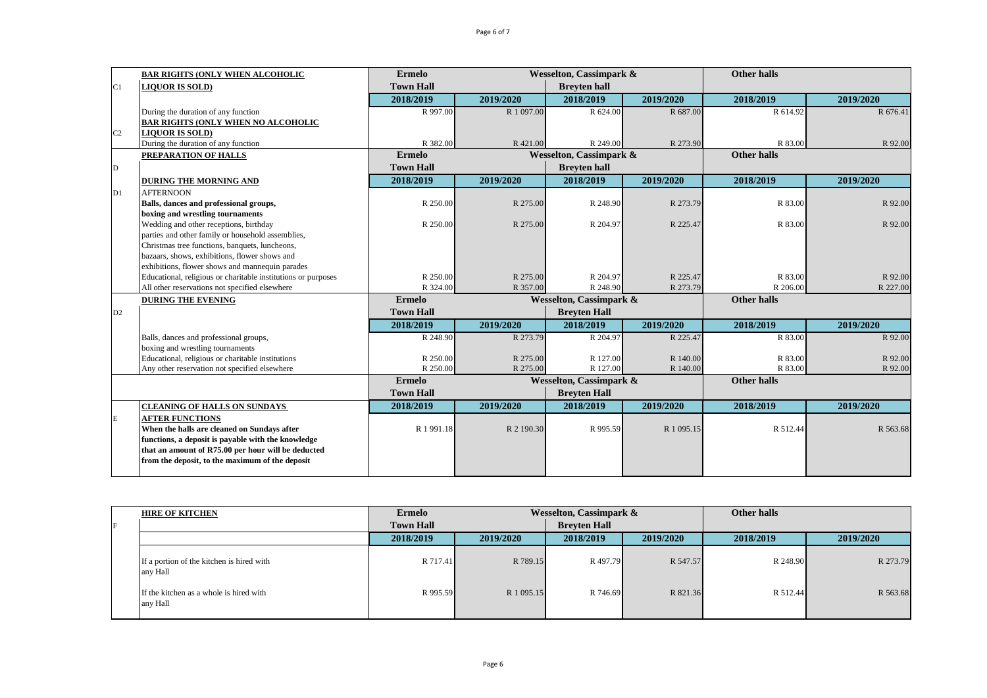|                | <b>BAR RIGHTS (ONLY WHEN ALCOHOLIC</b>                        | <b>Ermelo</b>    |            | Wesselton, Cassimpark &            |            | <b>Other halls</b> |           |
|----------------|---------------------------------------------------------------|------------------|------------|------------------------------------|------------|--------------------|-----------|
| C1             | <b>LIQUOR IS SOLD)</b>                                        | <b>Town Hall</b> |            | <b>Brevten hall</b>                |            |                    |           |
|                |                                                               | 2018/2019        | 2019/2020  | 2018/2019                          | 2019/2020  | 2018/2019          | 2019/2020 |
|                | During the duration of any function                           | R 997.00         | R 1 097.00 | R 624.00                           | R 687.00   | R 614.92           | R 676.41  |
|                | <b>BAR RIGHTS (ONLY WHEN NO ALCOHOLIC</b>                     |                  |            |                                    |            |                    |           |
| C <sub>2</sub> | <b>LIQUOR IS SOLD)</b>                                        |                  |            |                                    |            |                    |           |
|                | During the duration of any function                           | R 382.00         | R 421.00   | R 249.00                           | R 273.90   | R 83.00            | R 92.00   |
|                | PREPARATION OF HALLS                                          | <b>Ermelo</b>    |            | Wesselton, Cassimpark &            |            | <b>Other halls</b> |           |
| D              |                                                               | <b>Town Hall</b> |            | <b>Breyten hall</b>                |            |                    |           |
|                | DURING THE MORNING AND                                        | 2018/2019        | 2019/2020  | 2018/2019                          | 2019/2020  | 2018/2019          | 2019/2020 |
| D1             | <b>AFTERNOON</b>                                              |                  |            |                                    |            |                    |           |
|                | Balls, dances and professional groups,                        | R 250.00         | R 275.00   | R 248.90                           | R 273.79   | R 83.00            | R 92.00   |
|                | boxing and wrestling tournaments                              |                  |            |                                    |            |                    |           |
|                | Wedding and other receptions, birthday                        | R 250.00         | R 275.00   | R 204.97                           | R 225.47   | R 83.00            | R 92.00   |
|                | parties and other family or household assemblies,             |                  |            |                                    |            |                    |           |
|                | Christmas tree functions, banquets, luncheons,                |                  |            |                                    |            |                    |           |
|                | bazaars, shows, exhibitions, flower shows and                 |                  |            |                                    |            |                    |           |
|                | exhibitions, flower shows and mannequin parades               |                  |            |                                    |            |                    |           |
|                | Educational, religious or charitable institutions or purposes | R 250.00         | R 275.00   | R 204.97                           | R 225.47   | R 83.00            | R 92.00   |
|                | All other reservations not specified elsewhere                | R 324.00         | R 357.00   | R 248.90                           | R 273.79   | R 206.00           | R 227.00  |
|                | <b>DURING THE EVENING</b>                                     | <b>Ermelo</b>    |            | <b>Wesselton, Cassimpark &amp;</b> |            | <b>Other halls</b> |           |
| D2             |                                                               | <b>Town Hall</b> |            | <b>Breyten Hall</b>                |            |                    |           |
|                |                                                               | 2018/2019        | 2019/2020  | 2018/2019                          | 2019/2020  | 2018/2019          | 2019/2020 |
|                | Balls, dances and professional groups,                        | R 248.90         | R 273.79   | R 204.97                           | R 225.47   | R 83.00            | R 92.00   |
|                | boxing and wrestling tournaments                              |                  |            |                                    |            |                    |           |
|                | Educational, religious or charitable institutions             | R 250.00         | R 275.00   | R 127.00                           | R 140.00   | R 83.00            | R 92.00   |
|                | Any other reservation not specified elsewhere                 | R 250.00         | R 275.00   | R 127.00                           | R 140.00   | R 83.00            | R 92.00   |
|                |                                                               | <b>Ermelo</b>    |            | <b>Wesselton, Cassimpark &amp;</b> |            | <b>Other halls</b> |           |
|                |                                                               | <b>Town Hall</b> |            | <b>Brevten Hall</b>                |            |                    |           |
|                | <b>CLEANING OF HALLS ON SUNDAYS</b>                           | 2018/2019        | 2019/2020  | 2018/2019                          | 2019/2020  | 2018/2019          | 2019/2020 |
| E              | <b>AFTER FUNCTIONS</b>                                        |                  |            |                                    |            |                    |           |
|                | When the halls are cleaned on Sundays after                   | R 1 991.18       | R 2 190.30 | R 995.59                           | R 1 095.15 | R 512.44           | R 563.68  |
|                | functions, a deposit is payable with the knowledge            |                  |            |                                    |            |                    |           |
|                | that an amount of R75.00 per hour will be deducted            |                  |            |                                    |            |                    |           |
|                | from the deposit, to the maximum of the deposit               |                  |            |                                    |            |                    |           |
|                |                                                               |                  |            |                                    |            |                    |           |

|   | <b>HIRE OF KITCHEN</b>                                | Wesselton, Cassimpark &<br>Ermelo |            |                     | <b>Other halls</b> |           |           |
|---|-------------------------------------------------------|-----------------------------------|------------|---------------------|--------------------|-----------|-----------|
| F |                                                       | <b>Town Hall</b>                  |            | <b>Brevten Hall</b> |                    |           |           |
|   |                                                       | 2018/2019                         | 2019/2020  | 2018/2019           | 2019/2020          | 2018/2019 | 2019/2020 |
|   | If a portion of the kitchen is hired with<br>any Hall | R 717.41                          | R 789.15   | R497.79             | R 547.57           | R 248.90  | R 273.79  |
|   | If the kitchen as a whole is hired with<br>any Hall   | R 995.59                          | R 1 095.15 | R 746.69            | R 821.36           | R 512.44  | R 563.68  |